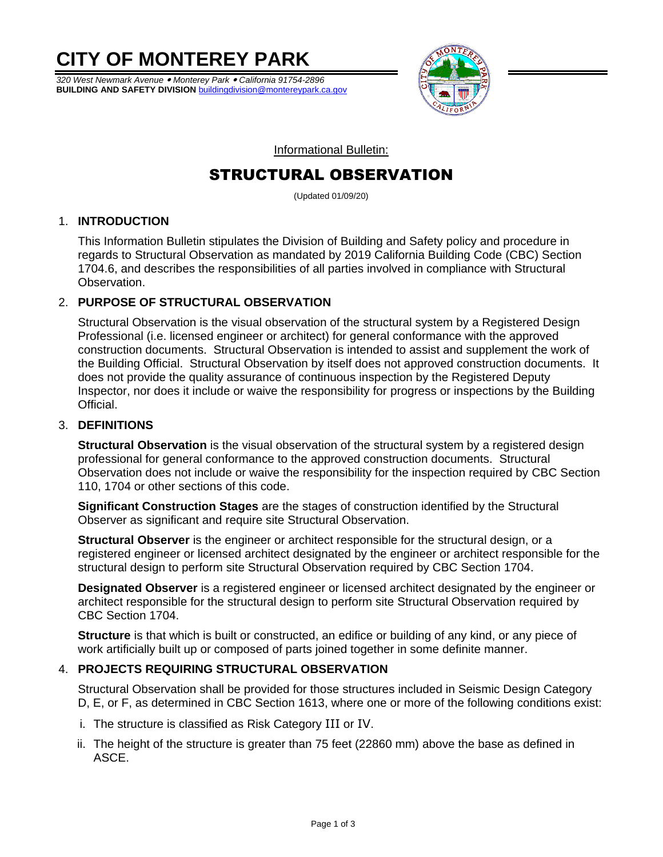# **CITY OF MONTEREY PARK**

*320 West Newmark Avenue Monterey Park California 91754-2896* **BUILDING AND SAFETY DIVISION** buildingdivision@montereypark.ca.gov



Informational Bulletin:

# STRUCTURAL OBSERVATION

(Updated 01/09/20)

# 1. **INTRODUCTION**

This Information Bulletin stipulates the Division of Building and Safety policy and procedure in regards to Structural Observation as mandated by 2019 California Building Code (CBC) Section 1704.6, and describes the responsibilities of all parties involved in compliance with Structural Observation.

# 2. **PURPOSE OF STRUCTURAL OBSERVATION**

Structural Observation is the visual observation of the structural system by a Registered Design Professional (i.e. licensed engineer or architect) for general conformance with the approved construction documents. Structural Observation is intended to assist and supplement the work of the Building Official. Structural Observation by itself does not approved construction documents. It does not provide the quality assurance of continuous inspection by the Registered Deputy Inspector, nor does it include or waive the responsibility for progress or inspections by the Building Official.

#### 3. **DEFINITIONS**

**Structural Observation** is the visual observation of the structural system by a registered design professional for general conformance to the approved construction documents. Structural Observation does not include or waive the responsibility for the inspection required by CBC Section 110, 1704 or other sections of this code.

**Significant Construction Stages** are the stages of construction identified by the Structural Observer as significant and require site Structural Observation.

**Structural Observer** is the engineer or architect responsible for the structural design, or a registered engineer or licensed architect designated by the engineer or architect responsible for the structural design to perform site Structural Observation required by CBC Section 1704.

**Designated Observer** is a registered engineer or licensed architect designated by the engineer or architect responsible for the structural design to perform site Structural Observation required by CBC Section 1704.

**Structure** is that which is built or constructed, an edifice or building of any kind, or any piece of work artificially built up or composed of parts joined together in some definite manner.

#### 4. **PROJECTS REQUIRING STRUCTURAL OBSERVATION**

Structural Observation shall be provided for those structures included in Seismic Design Category D, E, or F, as determined in CBC Section 1613, where one or more of the following conditions exist:

- i. The structure is classified as Risk Category III or IV.
- ii. The height of the structure is greater than 75 feet (22860 mm) above the base as defined in ASCE.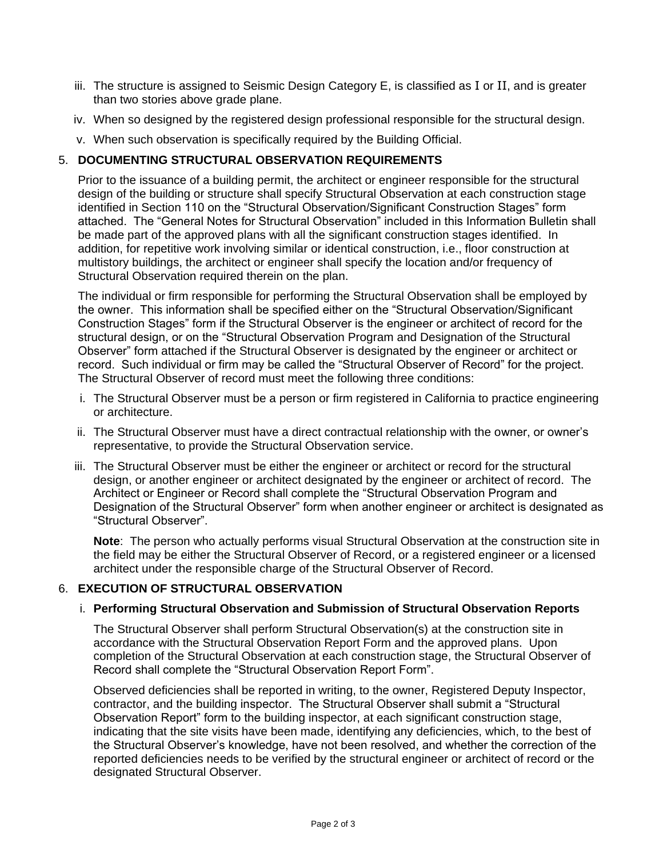- iii. The structure is assigned to Seismic Design Category E, is classified as I or II, and is greater than two stories above grade plane.
- iv. When so designed by the registered design professional responsible for the structural design.
- v. When such observation is specifically required by the Building Official.

### 5. **DOCUMENTING STRUCTURAL OBSERVATION REQUIREMENTS**

Prior to the issuance of a building permit, the architect or engineer responsible for the structural design of the building or structure shall specify Structural Observation at each construction stage identified in Section 110 on the "Structural Observation/Significant Construction Stages" form attached. The "General Notes for Structural Observation" included in this Information Bulletin shall be made part of the approved plans with all the significant construction stages identified. In addition, for repetitive work involving similar or identical construction, i.e., floor construction at multistory buildings, the architect or engineer shall specify the location and/or frequency of Structural Observation required therein on the plan.

The individual or firm responsible for performing the Structural Observation shall be employed by the owner. This information shall be specified either on the "Structural Observation/Significant Construction Stages" form if the Structural Observer is the engineer or architect of record for the structural design, or on the "Structural Observation Program and Designation of the Structural Observer" form attached if the Structural Observer is designated by the engineer or architect or record. Such individual or firm may be called the "Structural Observer of Record" for the project. The Structural Observer of record must meet the following three conditions:

- i. The Structural Observer must be a person or firm registered in California to practice engineering or architecture.
- ii. The Structural Observer must have a direct contractual relationship with the owner, or owner's representative, to provide the Structural Observation service.
- iii. The Structural Observer must be either the engineer or architect or record for the structural design, or another engineer or architect designated by the engineer or architect of record. The Architect or Engineer or Record shall complete the "Structural Observation Program and Designation of the Structural Observer" form when another engineer or architect is designated as "Structural Observer".

**Note**: The person who actually performs visual Structural Observation at the construction site in the field may be either the Structural Observer of Record, or a registered engineer or a licensed architect under the responsible charge of the Structural Observer of Record.

#### 6. **EXECUTION OF STRUCTURAL OBSERVATION**

#### i. **Performing Structural Observation and Submission of Structural Observation Reports**

The Structural Observer shall perform Structural Observation(s) at the construction site in accordance with the Structural Observation Report Form and the approved plans. Upon completion of the Structural Observation at each construction stage, the Structural Observer of Record shall complete the "Structural Observation Report Form".

Observed deficiencies shall be reported in writing, to the owner, Registered Deputy Inspector, contractor, and the building inspector. The Structural Observer shall submit a "Structural Observation Report" form to the building inspector, at each significant construction stage, indicating that the site visits have been made, identifying any deficiencies, which, to the best of the Structural Observer's knowledge, have not been resolved, and whether the correction of the reported deficiencies needs to be verified by the structural engineer or architect of record or the designated Structural Observer.